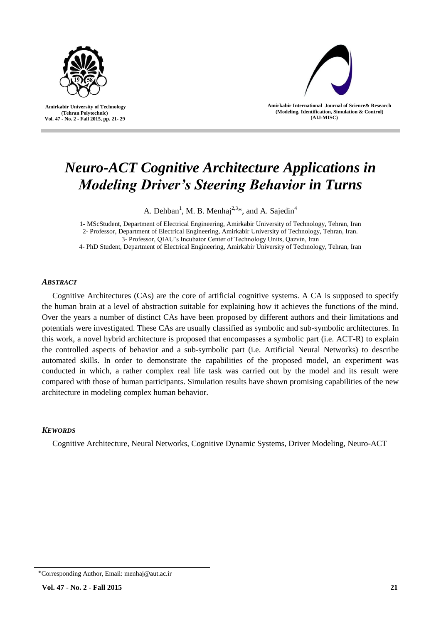

 **Amirkabir University of Technology (Tehran Polytechnic) Vol. 47 - No. 2 - Fall 2015, pp. 21- 29**



**Amirkabir International Journal of Science& Research (Modeling, Identification, Simulation & Control) )AIJ-MISC)**

# *Neuro-ACT Cognitive Architecture Applications in Modeling Driver's Steering Behavior in Turns*

A. Dehban<sup>1</sup>, M. B. Menhaj<sup>2,3\*</sup>, and A. Sajedin<sup>4</sup>

1- MScStudent, Department of Electrical Engineering, Amirkabir University of Technology, Tehran, Iran 2- Professor, Department of Electrical Engineering, Amirkabir University of Technology, Tehran, Iran. 3- Professor, QIAU's Incubator Center of Technology Units, Qazvin, Iran

4- PhD Student, Department of Electrical Engineering, Amirkabir University of Technology, Tehran, Iran

#### *ABSTRACT*

Cognitive Architectures (CAs) are the core of artificial cognitive systems. A CA is supposed to specify the human brain at a level of abstraction suitable for explaining how it achieves the functions of the mind. Over the years a number of distinct CAs have been proposed by different authors and their limitations and potentials were investigated. These CAs are usually classified as symbolic and sub-symbolic architectures. In this work, a novel hybrid architecture is proposed that encompasses a symbolic part (i.e. ACT-R) to explain the controlled aspects of behavior and a sub-symbolic part (i.e. Artificial Neural Networks) to describe automated skills. In order to demonstrate the capabilities of the proposed model, an experiment was conducted in which, a rather complex real life task was carried out by the model and its result were compared with those of human participants. Simulation results have shown promising capabilities of the new architecture in modeling complex human behavior.

## *KEWORDS*

Cognitive Architecture, Neural Networks, Cognitive Dynamic Systems, Driver Modeling, Neuro-ACT

<sup>٭</sup>Corresponding Author, Email: menhaj@aut.ac.ir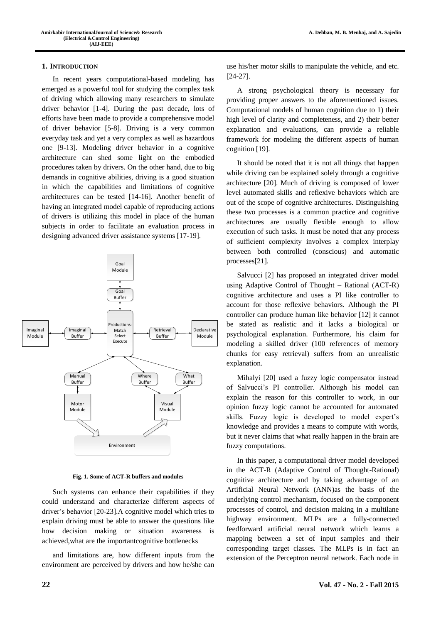#### **1. INTRODUCTION**

In recent years computational-based modeling has emerged as a powerful tool for studying the complex task of driving which allowing many researchers to simulate driver behavior [1-4]. During the past decade, lots of efforts have been made to provide a comprehensive model of driver behavior [5-8]. Driving is a very common everyday task and yet a very complex as well as hazardous one [9-13]. Modeling driver behavior in a cognitive architecture can shed some light on the embodied procedures taken by drivers. On the other hand, due to big demands in cognitive abilities, driving is a good situation in which the capabilities and limitations of cognitive architectures can be tested [14-16]. Another benefit of having an integrated model capable of reproducing actions of drivers is utilizing this model in place of the human subjects in order to facilitate an evaluation process in designing advanced driver assistance systems [17-19].



**Fig. 1. Some of ACT-R buffers and modules**

Such systems can enhance their capabilities if they could understand and characterize different aspects of driver's behavior [20-23].A cognitive model which tries to explain driving must be able to answer the questions like how decision making or situation awareness is achieved,what are the importantcognitive bottlenecks

and limitations are, how different inputs from the environment are perceived by drivers and how he/she can use his/her motor skills to manipulate the vehicle, and etc. [24-27].

A strong psychological theory is necessary for providing proper answers to the aforementioned issues. Computational models of human cognition due to 1) their high level of clarity and completeness, and 2) their better explanation and evaluations, can provide a reliable framework for modeling the different aspects of human cognition [19].

It should be noted that it is not all things that happen while driving can be explained solely through a cognitive architecture [20]. Much of driving is composed of lower level automated skills and reflexive behaviors which are out of the scope of cognitive architectures. Distinguishing these two processes is a common practice and cognitive architectures are usually flexible enough to allow execution of such tasks. It must be noted that any process of sufficient complexity involves a complex interplay between both controlled (conscious) and automatic processes[21].

Salvucci [2] has proposed an integrated driver model using Adaptive Control of Thought – Rational (ACT-R) cognitive architecture and uses a PI like controller to account for those reflexive behaviors. Although the PI controller can produce human like behavior [12] it cannot be stated as realistic and it lacks a biological or psychological explanation. Furthermore, his claim for modeling a skilled driver (100 references of memory chunks for easy retrieval) suffers from an unrealistic explanation.

Mihalyi [20] used a fuzzy logic compensator instead of Salvucci's PI controller. Although his model can explain the reason for this controller to work, in our opinion fuzzy logic cannot be accounted for automated skills. Fuzzy logic is developed to model expert's knowledge and provides a means to compute with words, but it never claims that what really happen in the brain are fuzzy computations.

In this paper, a computational driver model developed in the ACT-R (Adaptive Control of Thought-Rational) cognitive architecture and by taking advantage of an Artificial Neural Network (ANN)as the basis of the underlying control mechanism, focused on the component processes of control, and decision making in a multilane highway environment. MLPs are a fully-connected feedforward artificial neural network which learns a mapping between a set of input samples and their corresponding target classes. The MLPs is in fact an extension of the Perceptron neural network. Each node in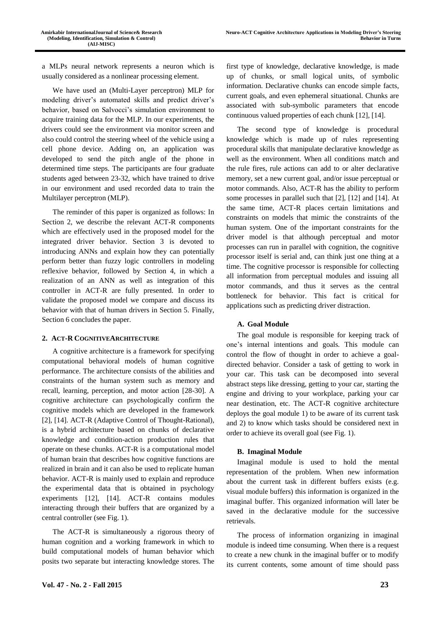a MLPs neural network represents a neuron which is usually considered as a nonlinear processing element.

We have used an (Multi-Layer perceptron) MLP for modeling driver's automated skills and predict driver's behavior, based on Salvocci's simulation environment to acquire training data for the MLP. In our experiments, the drivers could see the environment via monitor screen and also could control the steering wheel of the vehicle using a cell phone device. Adding on, an application was developed to send the pitch angle of the phone in determined time steps. The participants are four graduate students aged between 23-32, which have trained to drive in our environment and used recorded data to train the Multilayer perceptron (MLP).

The reminder of this paper is organized as follows: In Section 2, we describe the relevant ACT-R components which are effectively used in the proposed model for the integrated driver behavior. Section 3 is devoted to introducing ANNs and explain how they can potentially perform better than fuzzy logic controllers in modeling reflexive behavior, followed by Section 4, in which a realization of an ANN as well as integration of this controller in ACT-R are fully presented. In order to validate the proposed model we compare and discuss its behavior with that of human drivers in Section 5. Finally, Section 6 concludes the paper.

## **2. ACT-R COGNITIVEARCHITECTURE**

A cognitive architecture is a framework for specifying computational behavioral models of human cognitive performance. The architecture consists of the abilities and constraints of the human system such as memory and recall, learning, perception, and motor action [28-30]. A cognitive architecture can psychologically confirm the cognitive models which are developed in the framework [2], [14]. ACT-R (Adaptive Control of Thought-Rational), is a hybrid architecture based on chunks of declarative knowledge and condition-action production rules that operate on these chunks. ACT-R is a computational model of human brain that describes how cognitive functions are realized in brain and it can also be used to replicate human behavior. ACT-R is mainly used to explain and reproduce the experimental data that is obtained in psychology experiments [12], [14]. ACT-R contains modules interacting through their buffers that are organized by a central controller (see Fig. 1).

The ACT-R is simultaneously a rigorous theory of human cognition and a working framework in which to build computational models of human behavior which posits two separate but interacting knowledge stores. The

first type of knowledge, declarative knowledge, is made up of chunks, or small logical units, of symbolic information. Declarative chunks can encode simple facts, current goals, and even ephemeral situational. Chunks are associated with sub-symbolic parameters that encode continuous valued properties of each chunk [12], [14].

The second type of knowledge is procedural knowledge which is made up of rules representing procedural skills that manipulate declarative knowledge as well as the environment. When all conditions match and the rule fires, rule actions can add to or alter declarative memory, set a new current goal, and/or issue perceptual or motor commands. Also, ACT-R has the ability to perform some processes in parallel such that [2], [12] and [14]. At the same time, ACT-R places certain limitations and constraints on models that mimic the constraints of the human system. One of the important constraints for the driver model is that although perceptual and motor processes can run in parallel with cognition, the cognitive processor itself is serial and, can think just one thing at a time. The cognitive processor is responsible for collecting all information from perceptual modules and issuing all motor commands, and thus it serves as the central bottleneck for behavior. This fact is critical for applications such as predicting driver distraction.

# **A. Goal Module**

The goal module is responsible for keeping track of one's internal intentions and goals. This module can control the flow of thought in order to achieve a goaldirected behavior. Consider a task of getting to work in your car. This task can be decomposed into several abstract steps like dressing, getting to your car, starting the engine and driving to your workplace, parking your car near destination, etc. The ACT-R cognitive architecture deploys the goal module 1) to be aware of its current task and 2) to know which tasks should be considered next in order to achieve its overall goal (see Fig. 1).

# **B. Imaginal Module**

Imaginal module is used to hold the mental representation of the problem. When new information about the current task in different buffers exists (e.g. visual module buffers) this information is organized in the imaginal buffer. This organized information will later be saved in the declarative module for the successive retrievals.

The process of information organizing in imaginal module is indeed time consuming. When there is a request to create a new chunk in the imaginal buffer or to modify its current contents, some amount of time should pass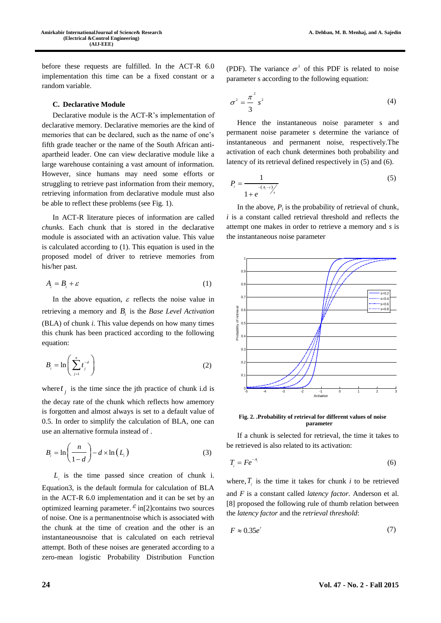before these requests are fulfilled. In the ACT-R 6.0 implementation this time can be a fixed constant or a random variable.

#### **C. Declarative Module**

Declarative module is the ACT-R's implementation of declarative memory. Declarative memories are the kind of memories that can be declared, such as the name of one's fifth grade teacher or the name of the South African antiapartheid leader. One can view declarative module like a large warehouse containing a vast amount of information. However, since humans may need some efforts or struggling to retrieve past information from their memory, retrieving information from declarative module must also be able to reflect these problems (see Fig. 1).

In ACT-R literature pieces of information are called *chunks*. Each chunk that is stored in the declarative module is associated with an activation value. This value is calculated according to (1). This equation is used in the proposed model of driver to retrieve memories from his/her past.

$$
A_i = B_i + \varepsilon \tag{1}
$$

In the above equation,  $\varepsilon$  reflects the noise value in retrieving a memory and *Bi* is the *Base Level Activation* (BLA) of chunk *i.* This value depends on how many times this chunk has been practiced according to the following equation:

$$
B_i = \ln\left(\sum_{j=1}^n t_j^{-d}\right) \tag{2}
$$

where  $t_j$  is the time since the jth practice of chunk i.d is the decay rate of the chunk which reflects how amemory is forgotten and almost always is set to a default value of 0.5. In order to simplify the calculation of BLA, one can use an alternative formula instead of .

$$
B_i = \ln\left(\frac{n}{1-d}\right) - d \times \ln(L_i)
$$
 (3)

 $L_i$  is the time passed since creation of chunk i. Equation3, is the default formula for calculation of BLA in the ACT-R 6.0 implementation and it can be set by an optimized learning parameter.  $\epsilon$  in[2] contains two sources of noise. One is a permanentnoise which is associated with the chunk at the time of creation and the other is an instantaneousnoise that is calculated on each retrieval attempt. Both of these noises are generated according to a zero-mean logistic Probability Distribution Function

(PDF). The variance  $\sigma^2$  of this PDF is related to noise parameter s according to the following equation:

$$
\sigma^2 = \frac{\pi^2}{3} s^2 \tag{4}
$$

Hence the instantaneous noise parameter s and permanent noise parameter s determine the variance of instantaneous and permanent noise, respectively.The activation of each chunk determines both probability and latency of its retrieval defined respectively in (5) and (6).

$$
P_i = \frac{1}{1 + e^{-(A_i - \tau)}/s}
$$
\n<sup>(5)</sup>

In the above,  $P_i$  is the probability of retrieval of chunk, *i* is a constant called retrieval threshold and reflects the attempt one makes in order to retrieve a memory and *s* is the instantaneous noise parameter



**Fig. 2. .Probability of retrieval for different values of noise parameter**

If a chunk is selected for retrieval, the time it takes to be retrieved is also related to its activation:

$$
T_i = Fe^{-A_i} \tag{6}
$$

where,  $T_i$  is the time it takes for chunk *i* to be retrieved and *F* is a constant called *latency factor*. Anderson et al. [8] proposed the following rule of thumb relation between the *latency factor* and the *retrieval threshold*:

$$
F \approx 0.35e^{\tau} \tag{7}
$$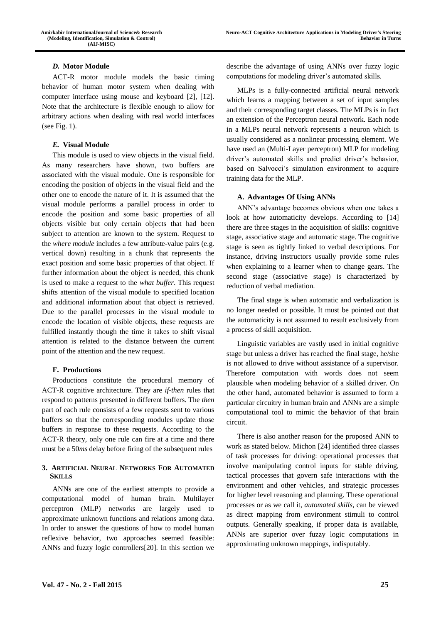## *D.* **Motor Module**

ACT-R motor module models the basic timing behavior of human motor system when dealing with computer interface using mouse and keyboard [2], [12]. Note that the architecture is flexible enough to allow for arbitrary actions when dealing with real world interfaces (see Fig. 1).

## *E.* **Visual Module**

This module is used to view objects in the visual field. As many researchers have shown, two buffers are associated with the visual module. One is responsible for encoding the position of objects in the visual field and the other one to encode the nature of it. It is assumed that the visual module performs a parallel process in order to encode the position and some basic properties of all objects visible but only certain objects that had been subject to attention are known to the system. Request to the *where module* includes a few attribute-value pairs (e.g. vertical down) resulting in a chunk that represents the exact position and some basic properties of that object. If further information about the object is needed, this chunk is used to make a request to the *what buffer*. This request shifts attention of the visual module to specified location and additional information about that object is retrieved. Due to the parallel processes in the visual module to encode the location of visible objects, these requests are fulfilled instantly though the time it takes to shift visual attention is related to the distance between the current point of the attention and the new request.

## **F. Productions**

Productions constitute the procedural memory of ACT-R cognitive architecture. They are *if-then* rules that respond to patterns presented in different buffers. The *then* part of each rule consists of a few requests sent to various buffers so that the corresponding modules update those buffers in response to these requests. According to the ACT-R theory, only one rule can fire at a time and there must be a 50*ms* delay before firing of the subsequent rules

# **3. ARTIFICIAL NEURAL NETWORKS FOR AUTOMATED SKILLS**

ANNs are one of the earliest attempts to provide a computational model of human brain. Multilayer perceptron (MLP) networks are largely used to approximate unknown functions and relations among data. In order to answer the questions of how to model human reflexive behavior, two approaches seemed feasible: ANNs and fuzzy logic controllers[20]. In this section we

describe the advantage of using ANNs over fuzzy logic computations for modeling driver's automated skills.

MLPs is a fully-connected artificial neural network which learns a mapping between a set of input samples and their corresponding target classes. The MLPs is in fact an extension of the Perceptron neural network. Each node in a MLPs neural network represents a neuron which is usually considered as a nonlinear processing element. We have used an (Multi-Layer perceptron) MLP for modeling driver's automated skills and predict driver's behavior, based on Salvocci's simulation environment to acquire training data for the MLP.

#### **A. Advantages Of Using ANNs**

ANN's advantage becomes obvious when one takes a look at how automaticity develops. According to [14] there are three stages in the acquisition of skills: cognitive stage, associative stage and automatic stage. The cognitive stage is seen as tightly linked to verbal descriptions. For instance, driving instructors usually provide some rules when explaining to a learner when to change gears. The second stage (associative stage) is characterized by reduction of verbal mediation.

The final stage is when automatic and verbalization is no longer needed or possible. It must be pointed out that the automaticity is not assumed to result exclusively from a process of skill acquisition.

Linguistic variables are vastly used in initial cognitive stage but unless a driver has reached the final stage, he/she is not allowed to drive without assistance of a supervisor. Therefore computation with words does not seem plausible when modeling behavior of a skilled driver. On the other hand, automated behavior is assumed to form a particular circuitry in human brain and ANNs are a simple computational tool to mimic the behavior of that brain circuit.

There is also another reason for the proposed ANN to work as stated below. Michon [24] identified three classes of task processes for driving: operational processes that involve manipulating control inputs for stable driving, tactical processes that govern safe interactions with the environment and other vehicles, and strategic processes for higher level reasoning and planning. These operational processes or as we call it, *automated skills*, can be viewed as direct mapping from environment stimuli to control outputs. Generally speaking, if proper data is available, ANNs are superior over fuzzy logic computations in approximating unknown mappings, indisputably.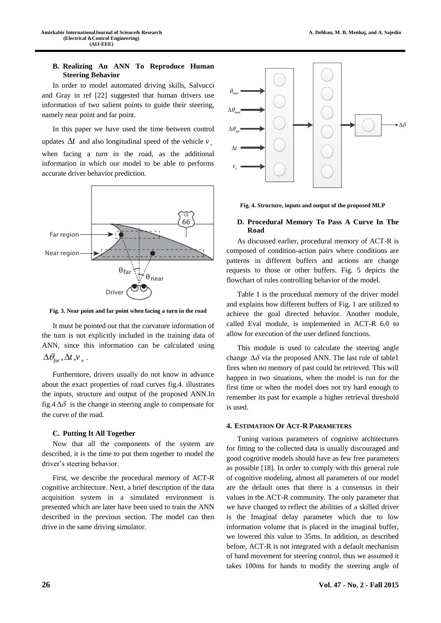## **B. Realizing An ANN To Reproduce Human Steering Behavior**

In order to model automated driving skills, Salvucci and Gray in ref [22] suggested that human drivers use information of two salient points to guide their steering, namely near point and far point.

In this paper we have used the time between control updates  $\Delta t$  and also longitudinal speed of the vehicle  $v_{\alpha}$ when facing a turn in the road, as the additional information in which our model to be able to performs accurate driver behavior prediction.



**Fig. 3. Near point and far point when facing a turn in the road**

It must be pointed out that the curvature information of the turn is not explicitly included in the training data of ANN, since this information can be calculated using  $\Delta\theta_{\text{far}}$ ,  $\Delta t$ ,  $v_x$ .

Furthermore, drivers usually do not know in advance about the exact properties of road curves fig.4. illustrates the inputs, structure and output of the proposed ANN.In fig.4  $\Delta\delta$  is the change in steering angle to compensate for the curve of the road.

## **C. Putting It All Together**

Now that all the components of the system are described, it is the time to put them together to model the driver's steering behavior.

First, we describe the procedural memory of ACT-R cognitive architecture. Next, a brief description of the data acquisition system in a simulated environment is presented which are later have been used to train the ANN described in the previous section. The model can then drive in the same driving simulator.



**Fig. 4. Structure, inputs and output of the proposed MLP**

# **D. Procedural Memory To Pass A Curve In The Road**

As discussed earlier, procedural memory of ACT-R is composed of condition-action pairs where conditions are patterns in different buffers and actions are change requests to those or other buffers. Fig. 5 depicts the flowchart of rules controlling behavior of the model.

Table 1 is the procedural memory of the driver model and explains how different buffers of Fig. 1 are utilized to achieve the goal directed behavior. Another module, called Eval module, is implemented in ACT-R 6.0 to allow for execution of the user defined functions.

This module is used to calculate the steering angle change  $\Delta\delta$  via the proposed ANN. The last rule of table1 fires when no memory of past could be retrieved. This will happen in two situations, when the model is run for the first time or when the model does not try hard enough to remember its past for example a higher retrieval threshold is used.

## **4. ESTIMATION OF ACT-R PARAMETERS**

Tuning various parameters of cognitive architectures for fitting to the collected data is usually discouraged and good cognitive models should have as few free parameters as possible [18]. In order to comply with this general rule of cognitive modeling, almost all parameters of our model are the default ones that there is a consensus in their values in the ACT-R community. The only parameter that we have changed to reflect the abilities of a skilled driver is the Imaginal delay parameter which due to low information volume that is placed in the imaginal buffer, we lowered this value to 35ms. In addition, as described before, ACT-R is not integrated with a default mechanism of hand movement for steering control, thus we assumed it takes 100ms for hands to modify the steering angle of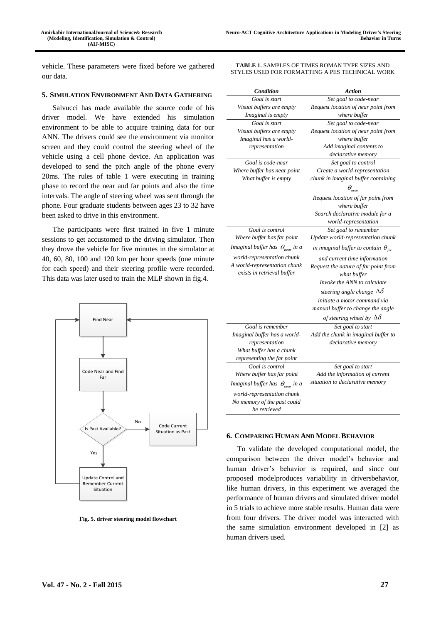vehicle. These parameters were fixed before we gathered our data.

## **5. SIMULATION ENVIRONMENT AND DATA GATHERING**

Salvucci has made available the source code of his driver model. We have extended his simulation environment to be able to acquire training data for our ANN. The drivers could see the environment via monitor screen and they could control the steering wheel of the vehicle using a cell phone device. An application was developed to send the pitch angle of the phone every 20ms. The rules of table 1 were executing in training phase to record the near and far points and also the time intervals. The angle of steering wheel was sent through the phone. Four graduate students between ages 23 to 32 have been asked to drive in this environment.

The participants were first trained in five 1 minute sessions to get accustomed to the driving simulator. Then they drove the vehicle for five minutes in the simulator at 40, 60, 80, 100 and 120 km per hour speeds (one minute for each speed) and their steering profile were recorded. This data was later used to train the MLP shown in fig.4.



**Fig. 5. driver steering model flowchart**

**TABLE 1.** SAMPLES OF TIMES ROMAN TYPE SIZES AND STYLES USED FOR FORMATTING A PES TECHNICAL WORK

| Condition                                                  | Action                                              |
|------------------------------------------------------------|-----------------------------------------------------|
| Goal is start                                              | Set goal to code-near                               |
| Visual buffers are empty                                   | Request location of near point from                 |
| Imaginal is empty                                          | where buffer                                        |
| Goal is start                                              | Set goal to code-near                               |
| Visual buffers are empty                                   | Request location of near point from                 |
| Imaginal has a world-                                      | where buffer                                        |
| representation                                             | Add imaginal contents to                            |
|                                                            | declarative memory                                  |
| Goal is code-near                                          | Set goal to control                                 |
| Where buffer has near point                                | Create a world-representation                       |
| What buffer is empty                                       | chunk in imaginal buffer containing                 |
|                                                            | $\theta_{\rm near}$                                 |
|                                                            | Request location of far point from<br>where buffer  |
|                                                            | Search declarative module for a                     |
|                                                            | world-representation                                |
| Goal is control                                            | Set goal to remember                                |
| Where buffer has far point                                 | Update world-representation chunk                   |
| Imaginal buffer has $\theta_{\text{near}}$ in a            | in imaginal buffer to contain $\theta_{\text{far}}$ |
| world-representation chunk                                 | and current time information                        |
| A world-representation chunk<br>exists in retrieval buffer | Request the nature of far point from<br>what buffer |
|                                                            | Invoke the ANN to calculate                         |
|                                                            | steering angle change $\Delta\delta$                |
|                                                            | initiate a motor command via                        |
|                                                            | manual buffer to change the angle                   |
|                                                            | of steering wheel by $\Delta\delta$                 |
| Goal is remember                                           | Set goal to start                                   |
| Imaginal buffer has a world-                               | Add the chunk in imaginal buffer to                 |
| representation                                             | declarative memory                                  |
| What buffer has a chunk                                    |                                                     |
| representing the far point                                 |                                                     |
| Goal is control                                            | Set goal to start                                   |
| Where buffer has far point                                 | Add the information of current                      |
| Imaginal buffer has $\theta_{\text{near}}$ in a            | situation to declarative memory                     |
| world-representation chunk                                 |                                                     |
| No memory of the past could                                |                                                     |
| be retrieved                                               |                                                     |
|                                                            |                                                     |

## **6. COMPARING HUMAN AND MODEL BEHAVIOR**

To validate the developed computational model, the comparison between the driver model's behavior and human driver's behavior is required, and since our proposed modelproduces variability in driversbehavior, like human drivers, in this experiment we averaged the performance of human drivers and simulated driver model in 5 trials to achieve more stable results. Human data were from four drivers. The driver model was interacted with the same simulation environment developed in [2] as human drivers used.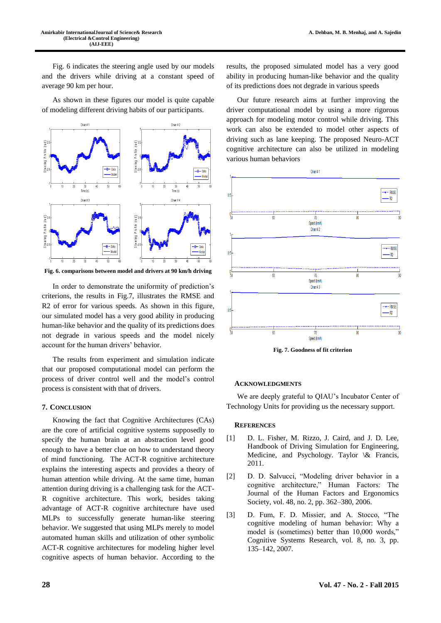Fig. 6 indicates the steering angle used by our models and the drivers while driving at a constant speed of average 90 km per hour.

As shown in these figures our model is quite capable of modeling different driving habits of our participants.



**Fig. 6. comparisons between model and drivers at 90 km/h driving**

In order to demonstrate the uniformity of prediction's criterions, the results in Fig.7, illustrates the RMSE and R2 of error for various speeds. As shown in this figure, our simulated model has a very good ability in producing human-like behavior and the quality of its predictions does not degrade in various speeds and the model nicely account for the human drivers' behavior.

The results from experiment and simulation indicate that our proposed computational model can perform the process of driver control well and the model's control process is consistent with that of drivers.

#### **7. CONCLUSION**

Knowing the fact that Cognitive Architectures (CAs) are the core of artificial cognitive systems supposedly to specify the human brain at an abstraction level good enough to have a better clue on how to understand theory of mind functioning. The ACT-R cognitive architecture explains the interesting aspects and provides a theory of human attention while driving. At the same time, human attention during driving is a challenging task for the ACT-R cognitive architecture. This work, besides taking advantage of ACT-R cognitive architecture have used MLPs to successfully generate human-like steering behavior. We suggested that using MLPs merely to model automated human skills and utilization of other symbolic ACT-R cognitive architectures for modeling higher level cognitive aspects of human behavior. According to the

results, the proposed simulated model has a very good ability in producing human-like behavior and the quality of its predictions does not degrade in various speeds

Our future research aims at further improving the driver computational model by using a more rigorous approach for modeling motor control while driving. This work can also be extended to model other aspects of driving such as lane keeping. The proposed Neuro-ACT cognitive architecture can also be utilized in modeling various human behaviors



**Fig. 7. Goodness of fit criterion**

#### **ACKNOWLEDGMENTS**

We are deeply grateful to QIAU's Incubator Center of Technology Units for providing us the necessary support.

#### **REFERENCES**

- [1] D. L. Fisher, M. Rizzo, J. Caird, and J. D. Lee, Handbook of Driving Simulation for Engineering, Medicine, and Psychology. Taylor \& Francis, 2011.
- [2] D. D. Salvucci, "Modeling driver behavior in a cognitive architecture," Human Factors: The Journal of the Human Factors and Ergonomics Society, vol. 48, no. 2, pp. 362–380, 2006.
- [3] D. Fum, F. D. Missier, and A. Stocco, "The cognitive modeling of human behavior: Why a model is (sometimes) better than 10,000 words," Cognitive Systems Research, vol. 8, no. 3, pp. 135–142, 2007.